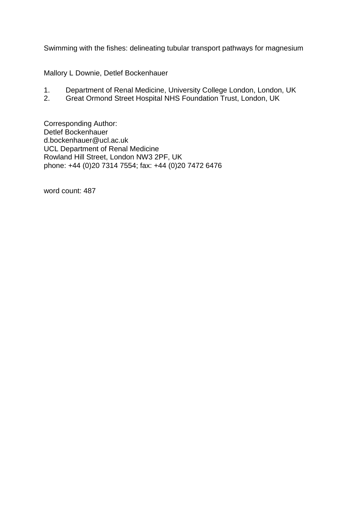Swimming with the fishes: delineating tubular transport pathways for magnesium

Mallory L Downie, Detlef Bockenhauer

- 1. Department of Renal Medicine, University College London, London, UK<br>2. Great Ormond Street Hospital NHS Foundation Trust. London. UK
- 2. Great Ormond Street Hospital NHS Foundation Trust, London, UK

Corresponding Author: Detlef Bockenhauer d.bockenhauer@ucl.ac.uk UCL Department of Renal Medicine Rowland Hill Street, London NW3 2PF, UK phone: +44 (0)20 7314 7554; fax: +44 (0)20 7472 6476

word count: 487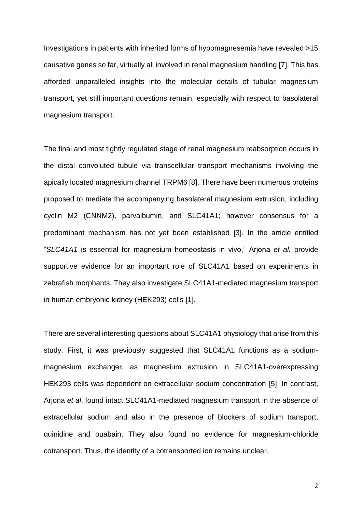Investigations in patients with inherited forms of hypomagnesemia have revealed >15 causative genes so far, virtually all involved in renal magnesium handling [7]. This has afforded unparalleled insights into the molecular details of tubular magnesium transport, yet still important questions remain, especially with respect to basolateral magnesium transport.

The final and most tightly regulated stage of renal magnesium reabsorption occurs in the distal convoluted tubule via transcellular transport mechanisms involving the apically located magnesium channel TRPM6 [8]. There have been numerous proteins proposed to mediate the accompanying basolateral magnesium extrusion, including cyclin M2 (CNNM2), parvalbumin, and SLC41A1; however consensus for a predominant mechanism has not yet been established [3]. In the article entitled "*SLC41A1* is essential for magnesium homeostasis in vivo," Arjona *et al.* provide supportive evidence for an important role of SLC41A1 based on experiments in zebrafish morphants. They also investigate SLC41A1-mediated magnesium transport in human embryonic kidney (HEK293) cells [1].

There are several interesting questions about SLC41A1 physiology that arise from this study. First, it was previously suggested that SLC41A1 functions as a sodiummagnesium exchanger, as magnesium extrusion in SLC41A1-overexpressing HEK293 cells was dependent on extracellular sodium concentration [5]. In contrast, Arjona *et al*. found intact SLC41A1-mediated magnesium transport in the absence of extracellular sodium and also in the presence of blockers of sodium transport, quinidine and ouabain. They also found no evidence for magnesium-chloride cotransport. Thus, the identity of a cotransported ion remains unclear.

2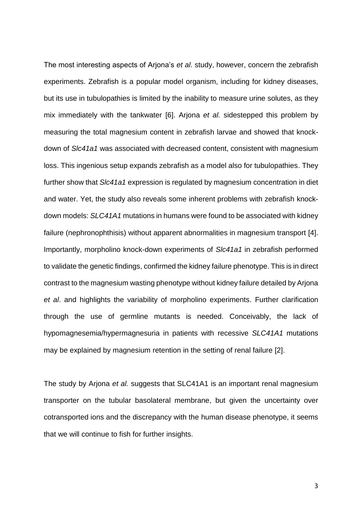The most interesting aspects of Arjona's *et al*. study, however, concern the zebrafish experiments. Zebrafish is a popular model organism, including for kidney diseases, but its use in tubulopathies is limited by the inability to measure urine solutes, as they mix immediately with the tankwater [6]. Arjona *et al.* sidestepped this problem by measuring the total magnesium content in zebrafish larvae and showed that knockdown of *Slc41a1* was associated with decreased content, consistent with magnesium loss. This ingenious setup expands zebrafish as a model also for tubulopathies. They further show that *Slc41a1* expression is regulated by magnesium concentration in diet and water. Yet, the study also reveals some inherent problems with zebrafish knockdown models: *SLC41A1* mutations in humans were found to be associated with kidney failure (nephronophthisis) without apparent abnormalities in magnesium transport [4]. Importantly, morpholino knock-down experiments of *Slc41a1* in zebrafish performed to validate the genetic findings, confirmed the kidney failure phenotype. This is in direct contrast to the magnesium wasting phenotype without kidney failure detailed by Arjona *et al*. and highlights the variability of morpholino experiments. Further clarification through the use of germline mutants is needed. Conceivably, the lack of hypomagnesemia/hypermagnesuria in patients with recessive *SLC41A1* mutations may be explained by magnesium retention in the setting of renal failure [2].

The study by Arjona *et al.* suggests that SLC41A1 is an important renal magnesium transporter on the tubular basolateral membrane, but given the uncertainty over cotransported ions and the discrepancy with the human disease phenotype, it seems that we will continue to fish for further insights.

3